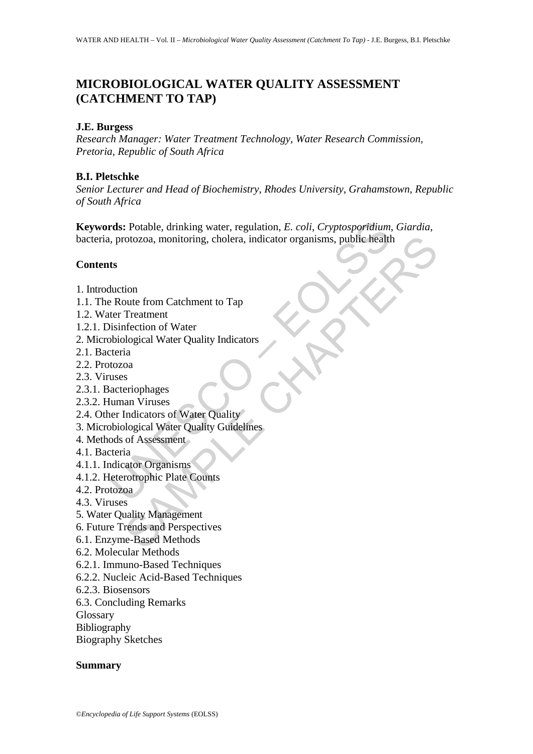# **MICROBIOLOGICAL WATER QUALITY ASSESSMENT (CATCHMENT TO TAP)**

## **J.E. Burgess**

*Research Manager: Water Treatment Technology, Water Research Commission, Pretoria, Republic of South Africa*

## **B.I. Pletschke**

*Senior Lecturer and Head of Biochemistry, Rhodes University, Grahamstown, Republic of South Africa*

rds: Potable, drinking water, regulation, *E. coli, Cryptosporidium*<br>
, protozoa, monitoring, cholera, indicator organisms, public health<br>
ts<br>
duction<br>
Route from Catchment to Tap<br>
ter Treatment<br>
sistification of Water<br>
te Totozoa, monitoring, cholera, indicator organisms, public health<br>
oute from Catchment to Tap<br>
Treatment<br>
Treatment<br>
Indicator of Water Quality Indicators<br>
an<br>
a<br>
seriophages<br>
Indicators of Water Quality<br>
Indicators of Wate **Keywords:** Potable, drinking water, regulation, *E. coli*, *Cryptosporidium*, *Giardia*, bacteria, protozoa, monitoring, cholera, indicator organisms, public health

## **Contents**

- 1. Introduction
- 1.1. The Route from Catchment to Tap
- 1.2. Water Treatment
- 1.2.1. Disinfection of Water
- 2. Microbiological Water Quality Indicators
- 2.1. Bacteria
- 2.2. Protozoa
- 2.3. Viruses
- 2.3.1. Bacteriophages
- 2.3.2. Human Viruses
- 2.4. Other Indicators of Water Quality
- 3. Microbiological Water Quality Guidelines
- 4. Methods of Assessment
- 4.1. Bacteria
- 4.1.1. Indicator Organisms
- 4.1.2. Heterotrophic Plate Counts
- 4.2. Protozoa
- 4.3. Viruses
- 5. Water Quality Management
- 6. Future Trends and Perspectives
- 6.1. Enzyme-Based Methods
- 6.2. Molecular Methods
- 6.2.1. Immuno-Based Techniques
- 6.2.2. Nucleic Acid-Based Techniques
- 6.2.3. Biosensors
- 6.3. Concluding Remarks

Glossary

- Bibliography
- Biography Sketches

### **Summary**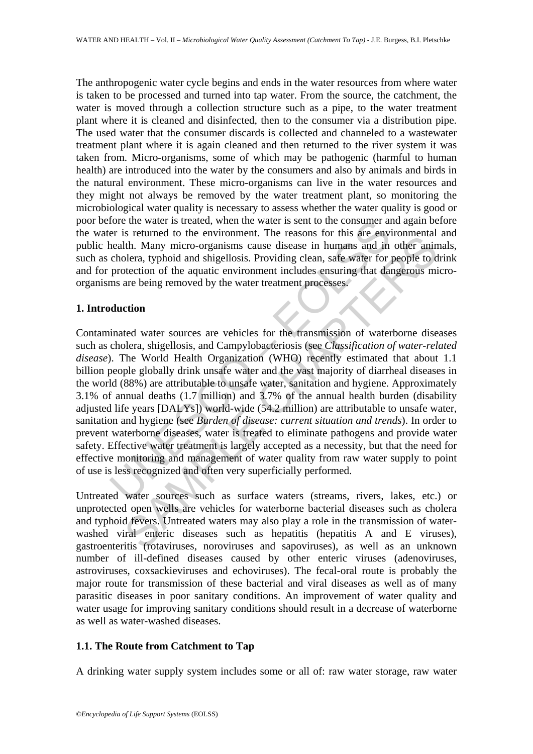The anthropogenic water cycle begins and ends in the water resources from where water is taken to be processed and turned into tap water. From the source, the catchment, the water is moved through a collection structure such as a pipe, to the water treatment plant where it is cleaned and disinfected, then to the consumer via a distribution pipe. The used water that the consumer discards is collected and channeled to a wastewater treatment plant where it is again cleaned and then returned to the river system it was taken from. Micro-organisms, some of which may be pathogenic (harmful to human health) are introduced into the water by the consumers and also by animals and birds in the natural environment. These micro-organisms can live in the water resources and they might not always be removed by the water treatment plant, so monitoring the microbiological water quality is necessary to assess whether the water quality is good or poor before the water is treated, when the water is sent to the consumer and again before the water is returned to the environment. The reasons for this are environmental and public health. Many micro-organisms cause disease in humans and in other animals, such as cholera, typhoid and shigellosis. Providing clean, safe water for people to drink and for protection of the aquatic environment includes ensuring that dangerous microorganisms are being removed by the water treatment processes.

## **1. Introduction**

for the water is treated, when the water is sent to the consumer and<br>the environment. The reasons for this are environment<br>read to the environment. The reasons for this are environment<br>colera, typhoid and shigellosis. Prov is retunned to the curtiminant. The reasons for this and curvindmitation<br>the Many micro-organisms cause disease in humans and in other anino<br>lera, typhoid and shigellosis. Providing clean, safe water for people to detecti Contaminated water sources are vehicles for the transmission of waterborne diseases such as cholera, shigellosis, and Campylobacteriosis (see *Classification of water-related disease*). The World Health Organization (WHO) recently estimated that about 1.1 billion people globally drink unsafe water and the vast majority of diarrheal diseases in the world (88%) are attributable to unsafe water, sanitation and hygiene. Approximately 3.1% of annual deaths (1.7 million) and 3.7% of the annual health burden (disability adjusted life years [DALYs]) world-wide (54.2 million) are attributable to unsafe water, sanitation and hygiene (see *Burden of disease: current situation and trends*). In order to prevent waterborne diseases, water is treated to eliminate pathogens and provide water safety. Effective water treatment is largely accepted as a necessity, but that the need for effective monitoring and management of water quality from raw water supply to point of use is less recognized and often very superficially performed.

Untreated water sources such as surface waters (streams, rivers, lakes, etc.) or unprotected open wells are vehicles for waterborne bacterial diseases such as cholera and typhoid fevers. Untreated waters may also play a role in the transmission of waterwashed viral enteric diseases such as hepatitis (hepatitis A and E viruses), gastroenteritis (rotaviruses, noroviruses and sapoviruses), as well as an unknown number of ill-defined diseases caused by other enteric viruses (adenoviruses, astroviruses, coxsackieviruses and echoviruses). The fecal-oral route is probably the major route for transmission of these bacterial and viral diseases as well as of many parasitic diseases in poor sanitary conditions. An improvement of water quality and water usage for improving sanitary conditions should result in a decrease of waterborne as well as water-washed diseases.

## **1.1. The Route from Catchment to Tap**

A drinking water supply system includes some or all of: raw water storage, raw water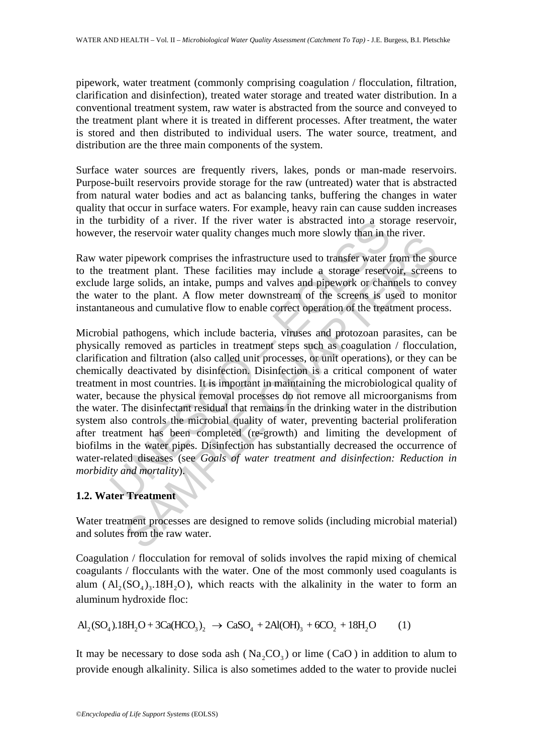pipework, water treatment (commonly comprising coagulation / flocculation, filtration, clarification and disinfection), treated water storage and treated water distribution. In a conventional treatment system, raw water is abstracted from the source and conveyed to the treatment plant where it is treated in different processes. After treatment, the water is stored and then distributed to individual users. The water source, treatment, and distribution are the three main components of the system.

Surface water sources are frequently rivers, lakes, ponds or man-made reservoirs. Purpose-built reservoirs provide storage for the raw (untreated) water that is abstracted from natural water bodies and act as balancing tanks, buffering the changes in water quality that occur in surface waters. For example, heavy rain can cause sudden increases in the turbidity of a river. If the river water is abstracted into a storage reservoir, however, the reservoir water quality changes much more slowly than in the river.

Raw water pipework comprises the infrastructure used to transfer water from the source to the treatment plant. These facilities may include a storage reservoir, screens to exclude large solids, an intake, pumps and valves and pipework or channels to convey the water to the plant. A flow meter downstream of the screens is used to monitor instantaneous and cumulative flow to enable correct operation of the treatment process.

turbidity of a river. If the river water is abstracted into a sto<br>r, the reservoir water quality changes much more slowly than in the<br>r, the reservoir water quality changes much more slowly than in the<br>treatment plant. The relatively water quality enaligies intertified for transfer water from the solution plane in the time<br>timent plane. These facilities may include a storage reservoir, screen<br>ge solids, an intake, pumps and valves and pipewo Microbial pathogens, which include bacteria, viruses and protozoan parasites, can be physically removed as particles in treatment steps such as coagulation / flocculation, clarification and filtration (also called unit processes, or unit operations), or they can be chemically deactivated by disinfection. Disinfection is a critical component of water treatment in most countries. It is important in maintaining the microbiological quality of water, because the physical removal processes do not remove all microorganisms from the water. The disinfectant residual that remains in the drinking water in the distribution system also controls the microbial quality of water, preventing bacterial proliferation after treatment has been completed (re-growth) and limiting the development of biofilms in the water pipes. Disinfection has substantially decreased the occurrence of water-related diseases (see *Goals of water treatment and disinfection: Reduction in morbidity and mortality*).

## **1.2. Water Treatment**

Water treatment processes are designed to remove solids (including microbial material) and solutes from the raw water.

Coagulation / flocculation for removal of solids involves the rapid mixing of chemical coagulants / flocculants with the water. One of the most commonly used coagulants is alum  $(Al_2(SO_4)_3.18H_2O)$ , which reacts with the alkalinity in the water to form an aluminum hydroxide floc:

$$
Al_2(SO_4).18H_2O + 3Ca(HCO_3)_2 \rightarrow CaSO_4 + 2Al(OH)_3 + 6CO_2 + 18H_2O \tag{1}
$$

It may be necessary to dose soda ash ( $Na_2CO_2$ ) or lime (CaO) in addition to alum to provide enough alkalinity. Silica is also sometimes added to the water to provide nuclei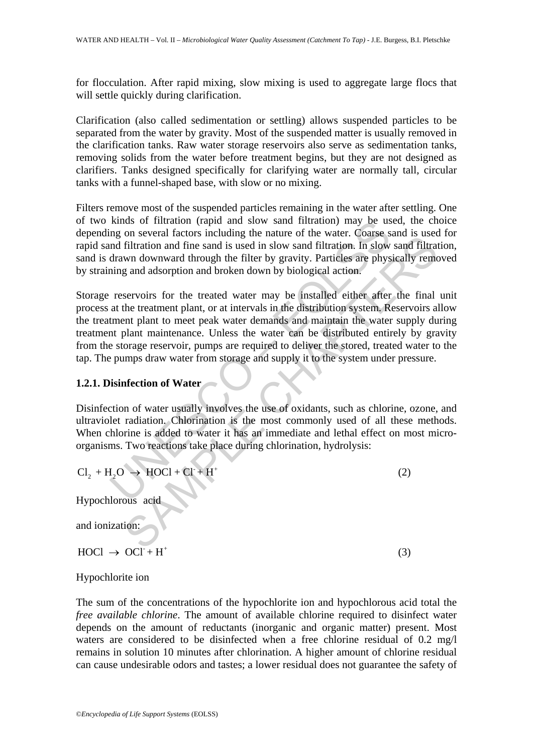for flocculation. After rapid mixing, slow mixing is used to aggregate large flocs that will settle quickly during clarification.

Clarification (also called sedimentation or settling) allows suspended particles to be separated from the water by gravity. Most of the suspended matter is usually removed in the clarification tanks. Raw water storage reservoirs also serve as sedimentation tanks, removing solids from the water before treatment begins, but they are not designed as clarifiers. Tanks designed specifically for clarifying water are normally tall, circular tanks with a funnel-shaped base, with slow or no mixing.

Filters remove most of the suspended particles remaining in the water after settling. One of two kinds of filtration (rapid and slow sand filtration) may be used, the choice depending on several factors including the nature of the water. Coarse sand is used for rapid sand filtration and fine sand is used in slow sand filtration. In slow sand filtration, sand is drawn downward through the filter by gravity. Particles are physically removed by straining and adsorption and broken down by biological action.

kinds of filtration (rapid and slow sand filtration) may be us<br>ng on several factors including the nature of the water. Coarse s<br>and filtration and fine sand is used in slow sand filtration. In slow<br>drawn downward through on several ractions including the latter of the water. Coals as a used in solve and filtration and fine stand is used in slow sand filtration. In slow sand filtration and fine sand is used in slow and filtration. In slow Storage reservoirs for the treated water may be installed either after the final unit process at the treatment plant, or at intervals in the distribution system. Reservoirs allow the treatment plant to meet peak water demands and maintain the water supply during treatment plant maintenance. Unless the water can be distributed entirely by gravity from the storage reservoir, pumps are required to deliver the stored, treated water to the tap. The pumps draw water from storage and supply it to the system under pressure.

## **1.2.1. Disinfection of Water**

Disinfection of water usually involves the use of oxidants, such as chlorine, ozone, and ultraviolet radiation. Chlorination is the most commonly used of all these methods. When chlorine is added to water it has an immediate and lethal effect on most microorganisms. Two reactions take place during chlorination, hydrolysis:

$$
Cl2 + H2O \rightarrow HOCl + Cl + H+
$$
 (2)  
Hypochlorous acid

and ionization:

 $\text{HOC1} \rightarrow \text{OC1}^+ + \text{H}^+$  (3)

Hypochlorite ion

The sum of the concentrations of the hypochlorite ion and hypochlorous acid total the *free available chlorine*. The amount of available chlorine required to disinfect water depends on the amount of reductants (inorganic and organic matter) present. Most waters are considered to be disinfected when a free chlorine residual of 0.2 mg/l remains in solution 10 minutes after chlorination. A higher amount of chlorine residual can cause undesirable odors and tastes; a lower residual does not guarantee the safety of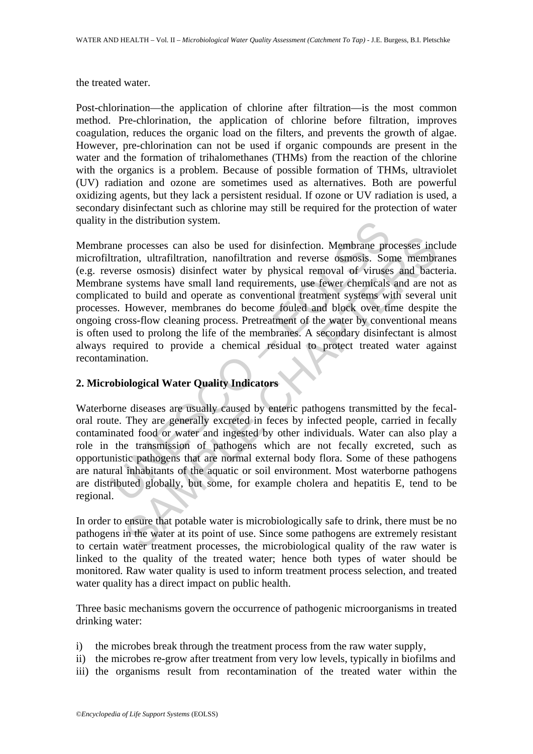the treated water.

Post-chlorination—the application of chlorine after filtration—is the most common method. Pre-chlorination, the application of chlorine before filtration, improves coagulation, reduces the organic load on the filters, and prevents the growth of algae. However, pre-chlorination can not be used if organic compounds are present in the water and the formation of trihalomethanes (THMs) from the reaction of the chlorine with the organics is a problem. Because of possible formation of THMs, ultraviolet (UV) radiation and ozone are sometimes used as alternatives. Both are powerful oxidizing agents, but they lack a persistent residual. If ozone or UV radiation is used, a secondary disinfectant such as chlorine may still be required for the protection of water quality in the distribution system.

in the distribution system.<br>
ane processes can also be used for disinfection. Membrane protration, ultrafiltration, nanofiltration and reverse osmosis. Sor<br>
verse osmosis) disinfect water by physical removal of viruses<br>
an processes can also be used for disinfection. Membrane processes inc<br>tion, ultrafiltration, nanofiltration and reverse osmosis. Some membri<br>se osmosis) disinfect water by physical removal of viruses and bact<br>systems have sm Membrane processes can also be used for disinfection. Membrane processes include microfiltration, ultrafiltration, nanofiltration and reverse osmosis. Some membranes (e.g. reverse osmosis) disinfect water by physical removal of viruses and bacteria. Membrane systems have small land requirements, use fewer chemicals and are not as complicated to build and operate as conventional treatment systems with several unit processes. However, membranes do become fouled and block over time despite the ongoing cross-flow cleaning process. Pretreatment of the water by conventional means is often used to prolong the life of the membranes. A secondary disinfectant is almost always required to provide a chemical residual to protect treated water against recontamination.

## **2. Microbiological Water Quality Indicators**

Waterborne diseases are usually caused by enteric pathogens transmitted by the fecaloral route. They are generally excreted in feces by infected people, carried in fecally contaminated food or water and ingested by other individuals. Water can also play a role in the transmission of pathogens which are not fecally excreted, such as opportunistic pathogens that are normal external body flora. Some of these pathogens are natural inhabitants of the aquatic or soil environment. Most waterborne pathogens are distributed globally, but some, for example cholera and hepatitis E, tend to be regional.

In order to ensure that potable water is microbiologically safe to drink, there must be no pathogens in the water at its point of use. Since some pathogens are extremely resistant to certain water treatment processes, the microbiological quality of the raw water is linked to the quality of the treated water; hence both types of water should be monitored. Raw water quality is used to inform treatment process selection, and treated water quality has a direct impact on public health.

Three basic mechanisms govern the occurrence of pathogenic microorganisms in treated drinking water:

- i) the microbes break through the treatment process from the raw water supply,
- ii) the microbes re-grow after treatment from very low levels, typically in biofilms and
- iii) the organisms result from recontamination of the treated water within the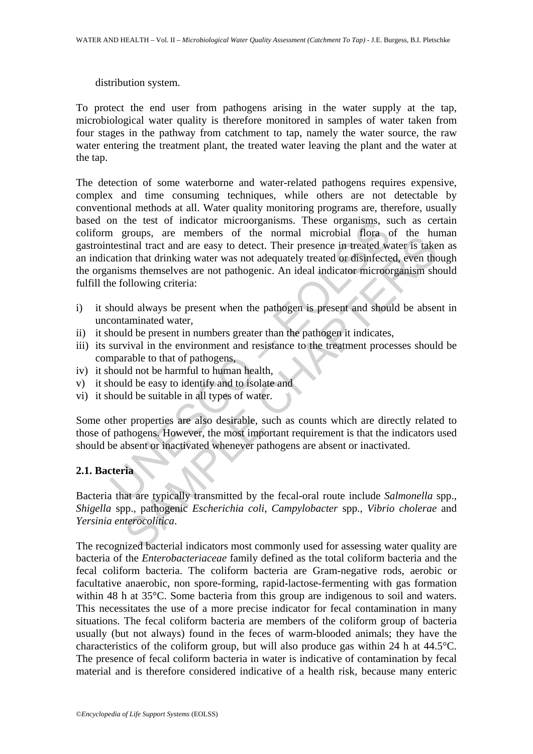### distribution system.

To protect the end user from pathogens arising in the water supply at the tap, microbiological water quality is therefore monitored in samples of water taken from four stages in the pathway from catchment to tap, namely the water source, the raw water entering the treatment plant, the treated water leaving the plant and the water at the tap.

of the test of indicator microorganisms. These organisms, somethesial flora comparisor of the normal microbial flora constants of the more distinct and the constantine that distinct and are easy to detect. Their presence i groups, are members on an ioninar interoloral road on the non-<br>tinal tract and are easy to detect. Their presence in treated water is take<br>on that drinking water was not adequately treated or disinfected, even the<br>ms thems The detection of some waterborne and water-related pathogens requires expensive, complex and time consuming techniques, while others are not detectable by conventional methods at all. Water quality monitoring programs are, therefore, usually based on the test of indicator microorganisms. These organisms, such as certain coliform groups, are members of the normal microbial flora of the human gastrointestinal tract and are easy to detect. Their presence in treated water is taken as an indication that drinking water was not adequately treated or disinfected, even though the organisms themselves are not pathogenic. An ideal indicator microorganism should fulfill the following criteria:

- i) it should always be present when the pathogen is present and should be absent in uncontaminated water,
- ii) it should be present in numbers greater than the pathogen it indicates,
- iii) its survival in the environment and resistance to the treatment processes should be comparable to that of pathogens,
- iv) it should not be harmful to human health,
- v) it should be easy to identify and to isolate and
- vi) it should be suitable in all types of water.

Some other properties are also desirable, such as counts which are directly related to those of pathogens. However, the most important requirement is that the indicators used should be absent or inactivated whenever pathogens are absent or inactivated.

## **2.1. Bacteria**

Bacteria that are typically transmitted by the fecal-oral route include *Salmonella* spp., *Shigella* spp., pathogenic *Escherichia coli*, *Campylobacter* spp., *Vibrio cholerae* and *Yersinia enterocolitica*.

The recognized bacterial indicators most commonly used for assessing water quality are bacteria of the *Enterobacteriaceae* family defined as the total coliform bacteria and the fecal coliform bacteria. The coliform bacteria are Gram-negative rods, aerobic or facultative anaerobic, non spore-forming, rapid-lactose-fermenting with gas formation within 48 h at 35 °C. Some bacteria from this group are indigenous to soil and waters. This necessitates the use of a more precise indicator for fecal contamination in many situations. The fecal coliform bacteria are members of the coliform group of bacteria usually (but not always) found in the feces of warm-blooded animals; they have the characteristics of the coliform group, but will also produce gas within 24 h at 44.5°C. The presence of fecal coliform bacteria in water is indicative of contamination by fecal material and is therefore considered indicative of a health risk, because many enteric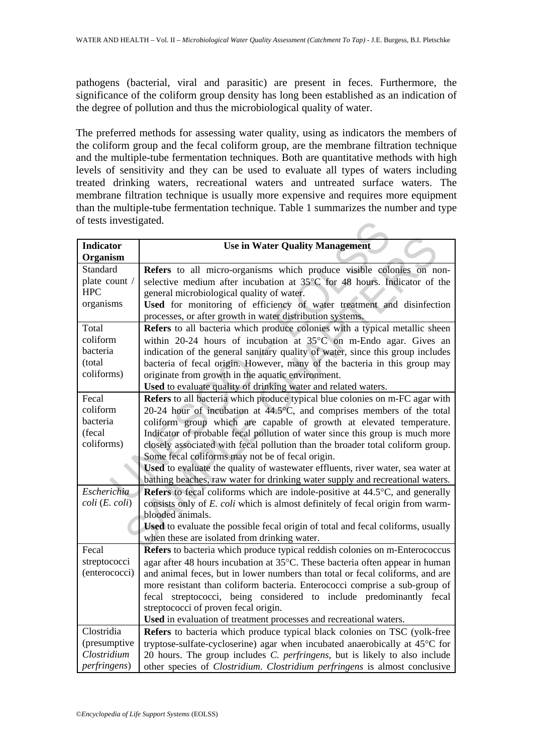pathogens (bacterial, viral and parasitic) are present in feces. Furthermore, the significance of the coliform group density has long been established as an indication of the degree of pollution and thus the microbiological quality of water.

The preferred methods for assessing water quality, using as indicators the members of the coliform group and the fecal coliform group, are the membrane filtration technique and the multiple-tube fermentation techniques. Both are quantitative methods with high levels of sensitivity and they can be used to evaluate all types of waters including treated drinking waters, recreational waters and untreated surface waters. The membrane filtration technique is usually more expensive and requires more equipment than the multiple-tube fermentation technique. Table 1 summarizes the number and type of tests investigated.

| of tests investigated.            |                                                                                  |
|-----------------------------------|----------------------------------------------------------------------------------|
| <b>Indicator</b>                  | <b>Use in Water Quality Management</b>                                           |
| Organism                          |                                                                                  |
| Standard                          | Refers to all micro-organisms which produce visible colonies on non-             |
| plate count /                     | selective medium after incubation at 35°C for 48 hours. Indicator of the         |
| <b>HPC</b>                        | general microbiological quality of water.                                        |
| organisms                         | Used for monitoring of efficiency of water treatment and disinfection            |
|                                   | processes, or after growth in water distribution systems.                        |
| Total                             | Refers to all bacteria which produce colonies with a typical metallic sheen      |
| coliform                          | within 20-24 hours of incubation at 35°C on m-Endo agar. Gives an                |
| bacteria                          | indication of the general sanitary quality of water, since this group includes   |
| (total                            | bacteria of fecal origin. However, many of the bacteria in this group may        |
| coliforms)                        | originate from growth in the aquatic environment.                                |
|                                   | Used to evaluate quality of drinking water and related waters.                   |
| Fecal                             | Refers to all bacteria which produce typical blue colonies on m-FC agar with     |
| coliform                          | 20-24 hour of incubation at 44.5°C, and comprises members of the total           |
| bacteria                          | coliform group which are capable of growth at elevated temperature.              |
| (fecal                            | Indicator of probable fecal pollution of water since this group is much more     |
| coliforms)                        | closely associated with fecal pollution than the broader total coliform group.   |
|                                   | Some fecal coliforms may not be of fecal origin.                                 |
|                                   | Used to evaluate the quality of wastewater effluents, river water, sea water at  |
|                                   | bathing beaches, raw water for drinking water supply and recreational waters.    |
| Escherichia                       | Refers to fecal coliforms which are indole-positive at 44.5°C, and generally     |
| $\text{coli}$ $(E. \text{ coli})$ | consists only of E. coli which is almost definitely of fecal origin from warm-   |
|                                   | blooded animals.                                                                 |
|                                   | Used to evaluate the possible fecal origin of total and fecal coliforms, usually |
|                                   | when these are isolated from drinking water.                                     |
| Fecal                             | Refers to bacteria which produce typical reddish colonies on m-Enterococcus      |
| streptococci                      | agar after 48 hours incubation at 35°C. These bacteria often appear in human     |
| (enterococci)                     | and animal feces, but in lower numbers than total or fecal coliforms, and are    |
|                                   | more resistant than coliform bacteria. Enterococci comprise a sub-group of       |
|                                   | streptococci, being considered to include predominantly fecal<br>fecal           |
|                                   | streptococci of proven fecal origin.                                             |
|                                   | Used in evaluation of treatment processes and recreational waters.               |
| Clostridia                        | Refers to bacteria which produce typical black colonies on TSC (yolk-free        |
| (presumptive                      | tryptose-sulfate-cycloserine) agar when incubated anaerobically at 45°C for      |
| Clostridium                       | 20 hours. The group includes C. perfringens, but is likely to also include       |
| <i>perfringens</i> )              | other species of Clostridium. Clostridium perfringens is almost conclusive       |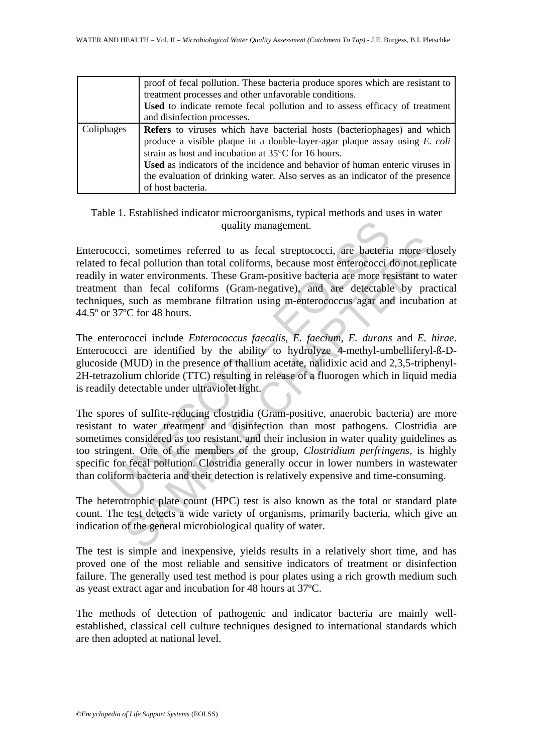|            | proof of fecal pollution. These bacteria produce spores which are resistant to<br>treatment processes and other unfavorable conditions.<br>Used to indicate remote fecal pollution and to assess efficacy of treatment<br>and disinfection processes.                                                                                                                                                        |
|------------|--------------------------------------------------------------------------------------------------------------------------------------------------------------------------------------------------------------------------------------------------------------------------------------------------------------------------------------------------------------------------------------------------------------|
| Coliphages | <b>Refers</b> to viruses which have bacterial hosts (bacteriophages) and which<br>produce a visible plaque in a double-layer-agar plaque assay using $E$ . coli<br>strain as host and incubation at 35°C for 16 hours.<br>Used as indicators of the incidence and behavior of human enteric viruses in<br>the evaluation of drinking water. Also serves as an indicator of the presence<br>of host bacteria. |

## Table 1. Established indicator microorganisms, typical methods and uses in water quality management.

Enterococci, sometimes referred to as fecal streptococci, are bacteria more closely related to fecal pollution than total coliforms, because most enterococci do not replicate readily in water environments. These Gram-positive bacteria are more resistant to water treatment than fecal coliforms (Gram-negative), and are detectable by practical techniques, such as membrane filtration using m-enterococcus agar and incubation at 44.5º or 37ºC for 48 hours.

The enterococci include *Enterococcus faecalis*, *E. faecium*, *E. durans* and *E. hirae*. Enterococci are identified by the ability to hydrolyze 4-methyl-umbelliferyl-ß-Dglucoside (MUD) in the presence of thallium acetate, nalidixic acid and 2,3,5-triphenyl-2H-tetrazolium chloride (TTC) resulting in release of a fluorogen which in liquid media is readily detectable under ultraviolet light.

quality management.<br>
occi, sometimes referred to as fecal streptococci, are bacteriato fo fecal pollution than total coliforms, because most entercococci in water environments. These Gram-positive bacteria are more re in t is, sometimes referred to as fecal streptococci, are bacteria more closed pollution than total coliforms, because most entercoccci do not replisive the enter environments. These Gram-positive bacteria are more resistant t The spores of sulfite-reducing clostridia (Gram-positive, anaerobic bacteria) are more resistant to water treatment and disinfection than most pathogens. Clostridia are sometimes considered as too resistant, and their inclusion in water quality guidelines as too stringent. One of the members of the group, *Clostridium perfringens*, is highly specific for fecal pollution. Clostridia generally occur in lower numbers in wastewater than coliform bacteria and their detection is relatively expensive and time-consuming.

The heterotrophic plate count (HPC) test is also known as the total or standard plate count. The test detects a wide variety of organisms, primarily bacteria, which give an indication of the general microbiological quality of water.

The test is simple and inexpensive, yields results in a relatively short time, and has proved one of the most reliable and sensitive indicators of treatment or disinfection failure. The generally used test method is pour plates using a rich growth medium such as yeast extract agar and incubation for 48 hours at 37ºC.

The methods of detection of pathogenic and indicator bacteria are mainly wellestablished, classical cell culture techniques designed to international standards which are then adopted at national level.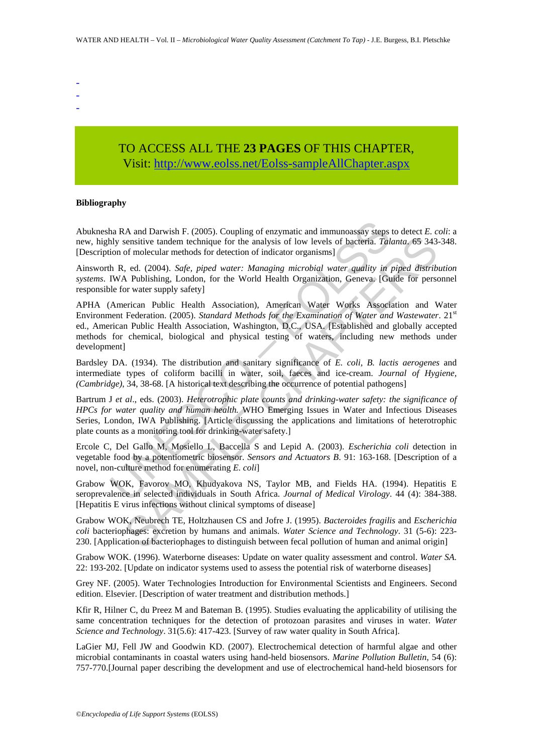- -
- -

## TO ACCESS ALL THE **23 PAGES** OF THIS CHAPTER, Visit[: http://www.eolss.net/Eolss-sampleAllChapter.aspx](https://www.eolss.net/ebooklib/sc_cart.aspx?File=E2-20A-03-04)

#### **Bibliography**

Abuknesha RA and Darwish F. (2005). Coupling of enzymatic and immunoassay steps to detect *E. coli*: a new, highly sensitive tandem technique for the analysis of low levels of bacteria. *Talanta*. 65 343-348. [Description of molecular methods for detection of indicator organisms]

Ainsworth R, ed. (2004). *Safe, piped water: Managing microbial water quality in piped distribution systems*. IWA Publishing, London, for the World Health Organization, Geneva. [Guide for personnel responsible for water supply safety]

ha RA and Darwish F. (2005). Coupling of enzymatic and immunoassay steps<br>hly sensitive tandem technique for the analysis of low levels of bacteria. Tal.<br>ion of molecular methods for detection of indicator organisms]<br>IN R, sensitive tandem technique for the analysis of low levels of bacteria. *Talanta*, 65 343<br>
of molecular methods for detection of indicator organisms]<br>
c, ed. (2004). *Safe, piped water: Managing microbial water quality in p* APHA (American Public Health Association), American Water Works Association and Water Environment Federation. (2005). *Standard Methods for the Examination of Water and Wastewater*. 21<sup>st</sup> ed., American Public Health Association, Washington, D.C., USA. [Established and globally accepted methods for chemical, biological and physical testing of waters, including new methods under development]

Bardsley DA. (1934). The distribution and sanitary significance of *E. coli, B. lactis aerogenes* and intermediate types of coliform bacilli in water, soil, faeces and ice-cream. *Journal of Hygiene, (Cambridge)*, 34, 38-68. [A historical text describing the occurrence of potential pathogens]

Bartrum J *et al*., eds. (2003). *Heterotrophic plate counts and drinking-water safety: the significance of HPCs for water quality and human health.* WHO Emerging Issues in Water and Infectious Diseases Series, London, IWA Publishing. [Article discussing the applications and limitations of heterotrophic plate counts as a monitoring tool for drinking-water safety.]

Ercole C, Del Gallo M, Mosiello L, Baccella S and Lepid A. (2003). *Escherichia coli* detection in vegetable food by a potentiometric biosensor. *Sensors and Actuators B*. 91: 163-168. [Description of a novel, non-culture method for enumerating *E. coli*]

Grabow WOK, Favorov MO, Khudyakova NS, Taylor MB, and Fields HA. (1994). Hepatitis E seroprevalence in selected individuals in South Africa. *Journal of Medical Virology*. 44 (4): 384-388. [Hepatitis E virus infections without clinical symptoms of disease]

Grabow WOK, Neubrech TE, Holtzhausen CS and Jofre J. (1995). *Bacteroides fragilis* and *Escherichia coli* bacteriophages: excretion by humans and animals. *Water Science and Technology*. 31 (5-6): 223- 230. [Application of bacteriophages to distinguish between fecal pollution of human and animal origin]

Grabow WOK. (1996). Waterborne diseases: Update on water quality assessment and control. *Water SA.*  22: 193-202. [Update on indicator systems used to assess the potential risk of waterborne diseases]

Grey NF. (2005). Water Technologies Introduction for Environmental Scientists and Engineers. Second edition. Elsevier. [Description of water treatment and distribution methods.]

Kfir R, Hilner C, du Preez M and Bateman B. (1995). Studies evaluating the applicability of utilising the same concentration techniques for the detection of protozoan parasites and viruses in water. *Water Science and Technology*. 31(5.6): 417-423. [Survey of raw water quality in South Africa].

LaGier MJ, Fell JW and Goodwin KD. (2007). Electrochemical detection of harmful algae and other microbial contaminants in coastal waters using hand-held biosensors. *Marine Pollution Bulletin*, 54 (6): 757-770.[Journal paper describing the development and use of electrochemical hand-held biosensors for